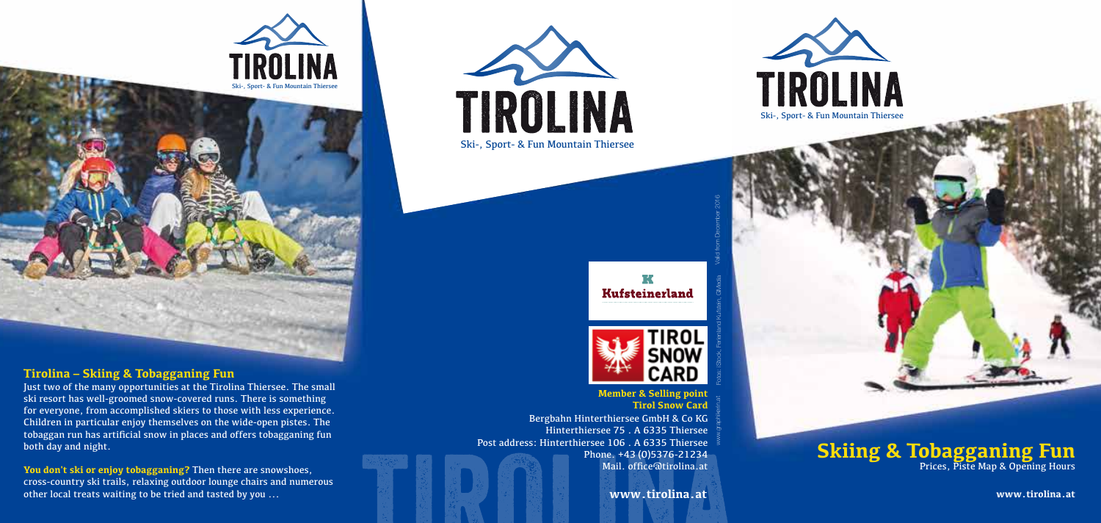

#### **Tirolina – Skiing & Tobagganing Fun**

Just two of the many opportunities at the Tirolina Thiersee. The small ski resort has well-groomed snow-covered runs. There is something for everyone, from accomplished skiers to those with less experience. Children in particular enjoy themselves on the wide-open pistes. The tobaggan run has artificial snow in places and offers tobagganing fun both day and night.

**You don't ski or enjoy tobagganing?** Then there are snowshoes, cross-country ski trails, relaxing outdoor lounge chairs and numerous other local treats waiting to be tried and tasted by you ...









Bergbahn Hinterthiersee GmbH & Co KG Hinterthiersee 75 . A 6335 Thiersee Post address: Hinterthiersee 106 . A 6335 Thiersee Phone. +43 (0)5376-21234 Mail. office@tirolina.at **Member & Selling point Tirol Snow Card** www.graphikerin.at Fotos: iStock, Ferienland Kufstein, GMedia Valid from December 2016

**www.tirolina.at**

## **Skiing & Tobagganing Fun** Prices, Piste Map & Opening Hours

**www.tirolina.at**